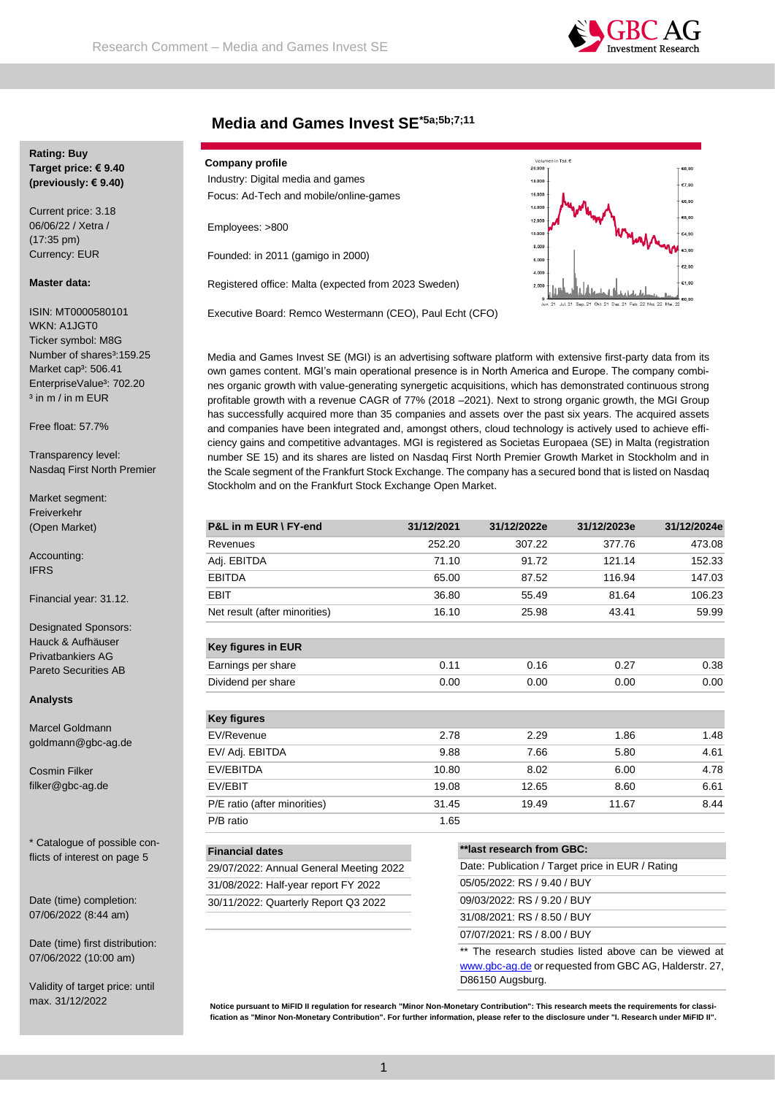

# **Media and Games Invest SE\*5a;5b;7;11**

## **Rating: Buy Target price: € 9.40 (previously: € 9.40)**

Current price: 3.18 06/06/22 / Xetra / (17:35 pm) Currency: EUR

#### **Master data:**

ISIN: MT0000580101 WKN: A1JGT0 Ticker symbol: M8G Number of shares<sup>3</sup>:159.25 Market cap<sup>3</sup>: 506.41 EnterpriseValue<sup>3</sup>: 702.20 <sup>3</sup> in m / in m EUR

Free float: 57.7%

Transparency level: Nasdaq First North Premier

Market segment: Freiverkehr (Open Market)

Accounting: IFRS

Financial year: 31.12.

Designated Sponsors: Hauck & Aufhäuser Privatbankiers AG Pareto Securities AB

**Analysts**

Marcel Goldmann goldmann@gbc-ag.de

Cosmin Filker filker@gbc-ag.de

\* Catalogue of possible conflicts of interest on page 5

Date (time) completion: 07/06/2022 (8:44 am)

Date (time) first distribution: 07/06/2022 (10:00 am)

Validity of target price: until

| <b>Company profile</b>            |  |
|-----------------------------------|--|
| Industry: Digital media and games |  |

Focus: Ad-Tech and mobile/online-games

Employees: >800

Founded: in 2011 (gamigo in 2000)

Registered office: Malta (expected from 2023 Sweden)

Executive Board: Remco Westermann (CEO), Paul Echt (CFO)



Media and Games Invest SE (MGI) is an advertising software platform with extensive first-party data from its own games content. MGI's main operational presence is in North America and Europe. The company combines organic growth with value-generating synergetic acquisitions, which has demonstrated continuous strong profitable growth with a revenue CAGR of 77% (2018 –2021). Next to strong organic growth, the MGI Group has successfully acquired more than 35 companies and assets over the past six years. The acquired assets and companies have been integrated and, amongst others, cloud technology is actively used to achieve efficiency gains and competitive advantages. MGI is registered as Societas Europaea (SE) in Malta (registration number SE 15) and its shares are listed on Nasdaq First North Premier Growth Market in Stockholm and in the Scale segment of the Frankfurt Stock Exchange. The company has a secured bond that is listed on Nasdaq Stockholm and on the Frankfurt Stock Exchange Open Market.

| P&L in m EUR \ FY-end                   | 31/12/2021 | 31/12/2022e                                      | 31/12/2023e | 31/12/2024e |
|-----------------------------------------|------------|--------------------------------------------------|-------------|-------------|
| Revenues                                | 252.20     | 307.22                                           | 377.76      | 473.08      |
| Adj. EBITDA                             | 71.10      | 91.72                                            | 121.14      | 152.33      |
| <b>EBITDA</b>                           | 65.00      | 87.52                                            | 116.94      | 147.03      |
| <b>EBIT</b>                             | 36.80      | 55.49                                            | 81.64       | 106.23      |
| Net result (after minorities)           | 16.10      | 25.98                                            | 43.41       | 59.99       |
| <b>Key figures in EUR</b>               |            |                                                  |             |             |
| Earnings per share                      | 0.11       | 0.16                                             | 0.27        | 0.38        |
| Dividend per share                      | 0.00       | 0.00                                             | 0.00        | 0.00        |
| <b>Key figures</b>                      |            |                                                  |             |             |
| EV/Revenue                              | 2.78       | 2.29                                             | 1.86        | 1.48        |
| EV/ Adj. EBITDA                         | 9.88       | 7.66                                             | 5.80        | 4.61        |
| EV/EBITDA                               | 10.80      | 8.02                                             | 6.00        | 4.78        |
| EV/EBIT                                 | 19.08      | 12.65                                            | 8.60        | 6.61        |
| P/E ratio (after minorities)            | 31.45      | 19.49                                            | 11.67       | 8.44        |
| P/B ratio                               | 1.65       |                                                  |             |             |
| <b>Financial dates</b>                  |            | **last research from GBC:                        |             |             |
| 29/07/2022: Annual General Meeting 2022 |            | Date: Publication / Target price in EUR / Rating |             |             |
| 31/08/2022: Half-year report FY 2022    |            | 05/05/2022: RS / 9.40 / BUY                      |             |             |

30/11/2022: Quarterly Report Q3 2022 09/03/2022: RS / 9.20 / BUY 31/08/2021: RS / 8.50 / BUY 07/07/2021: RS / 8.00 / BUY

> \*\* The research studies listed above can be viewed at [www.gbc-ag.de](http://www.gbc-ag.de/) or requested from GBC AG, Halderstr. 27, D86150 Augsburg.

max. 31/12/2022 **Notice pursuant to MiFID II regulation for research "Minor Non-Monetary Contribution": This research meets the requirements for classification as "Minor Non-Monetary Contribution". For further information, please refer to the disclosure under "I. Research under MiFID II".**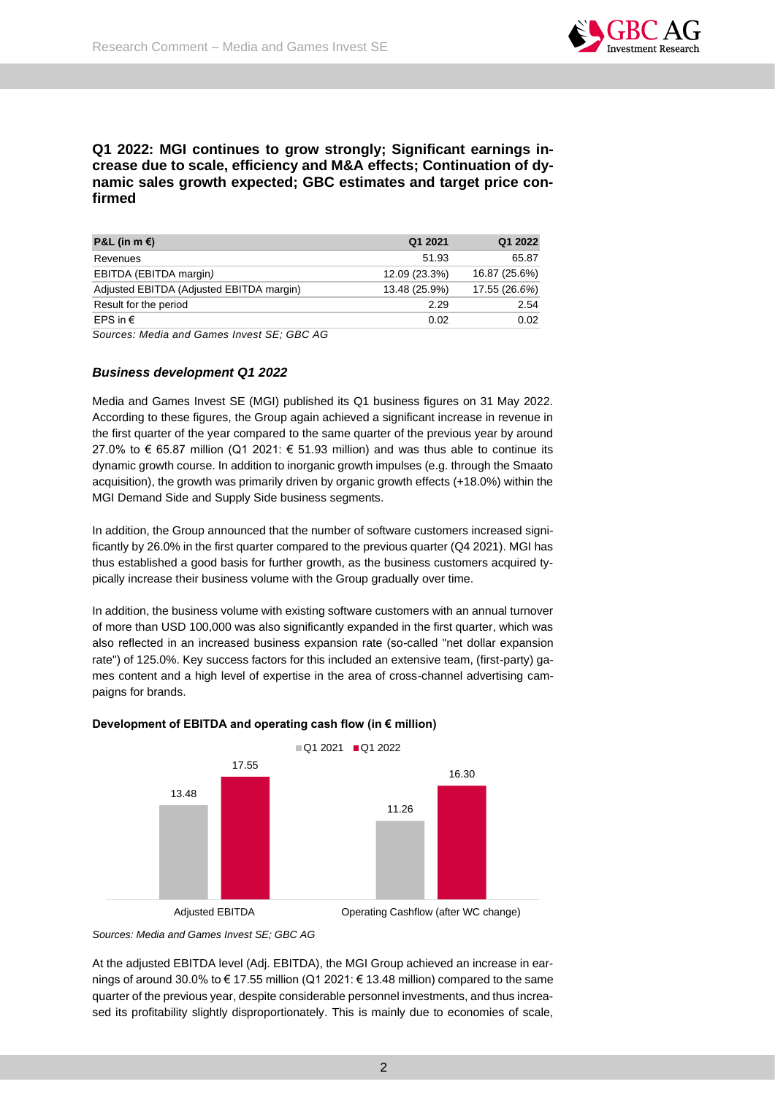

# **Q1 2022: MGI continues to grow strongly; Significant earnings increase due to scale, efficiency and M&A effects; Continuation of dynamic sales growth expected; GBC estimates and target price confirmed**

| P&L (in m €)                             | Q1 2021       | Q1 2022       |
|------------------------------------------|---------------|---------------|
| Revenues                                 | 51.93         | 65.87         |
| EBITDA (EBITDA margin)                   | 12.09 (23.3%) | 16.87 (25.6%) |
| Adjusted EBITDA (Adjusted EBITDA margin) | 13.48 (25.9%) | 17.55 (26.6%) |
| Result for the period                    | 2.29          | 2.54          |
| EPS in $\epsilon$                        | 0.02          | 0.02          |

*Sources: Media and Games Invest SE; GBC AG*

## *Business development Q1 2022*

Media and Games Invest SE (MGI) published its Q1 business figures on 31 May 2022. According to these figures, the Group again achieved a significant increase in revenue in the first quarter of the year compared to the same quarter of the previous year by around 27.0% to € 65.87 million (Q1 2021: € 51.93 million) and was thus able to continue its dynamic growth course. In addition to inorganic growth impulses (e.g. through the Smaato acquisition), the growth was primarily driven by organic growth effects (+18.0%) within the MGI Demand Side and Supply Side business segments.

In addition, the Group announced that the number of software customers increased significantly by 26.0% in the first quarter compared to the previous quarter (Q4 2021). MGI has thus established a good basis for further growth, as the business customers acquired typically increase their business volume with the Group gradually over time.

In addition, the business volume with existing software customers with an annual turnover of more than USD 100,000 was also significantly expanded in the first quarter, which was also reflected in an increased business expansion rate (so-called "net dollar expansion rate") of 125.0%. Key success factors for this included an extensive team, (first-party) games content and a high level of expertise in the area of cross-channel advertising campaigns for brands.



## **Development of EBITDA and operating cash flow (in € million)**

At the adjusted EBITDA level (Adj. EBITDA), the MGI Group achieved an increase in earnings of around 30.0% to € 17.55 million (Q1 2021: € 13.48 million) compared to the same quarter of the previous year, despite considerable personnel investments, and thus increased its profitability slightly disproportionately. This is mainly due to economies of scale,

*Sources: Media and Games Invest SE; GBC AG*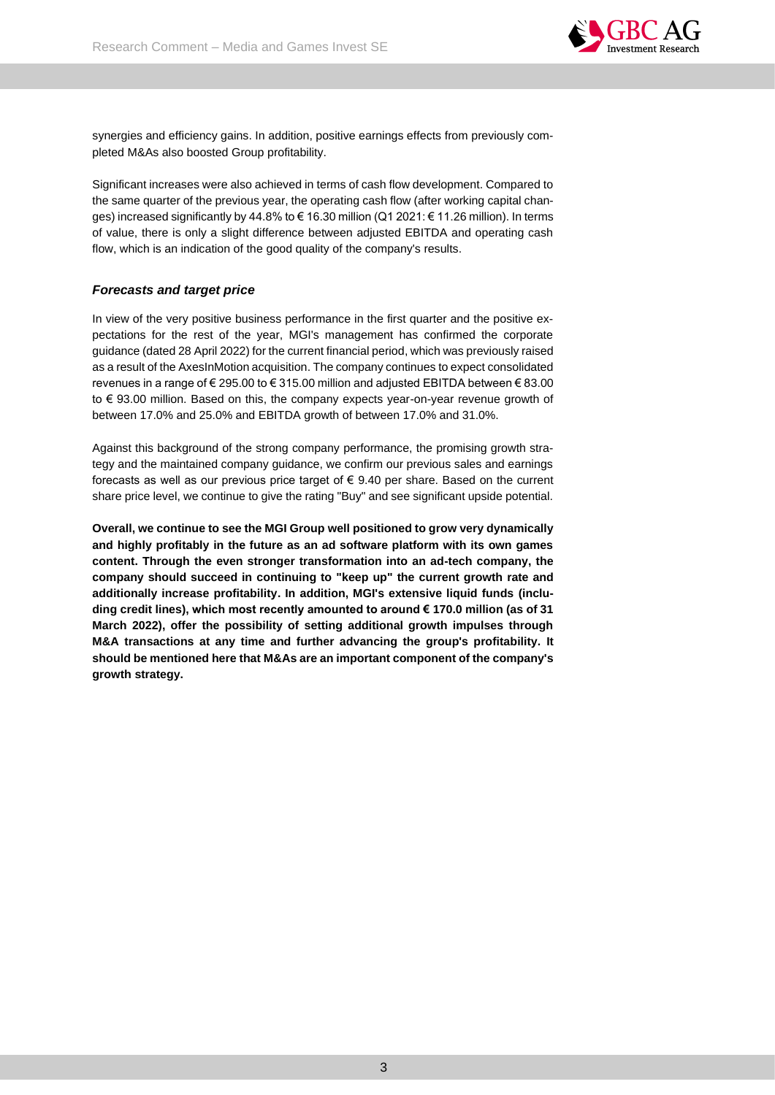

synergies and efficiency gains. In addition, positive earnings effects from previously completed M&As also boosted Group profitability.

Significant increases were also achieved in terms of cash flow development. Compared to the same quarter of the previous year, the operating cash flow (after working capital changes) increased significantly by 44.8% to € 16.30 million (Q1 2021: € 11.26 million). In terms of value, there is only a slight difference between adjusted EBITDA and operating cash flow, which is an indication of the good quality of the company's results.

## *Forecasts and target price*

In view of the very positive business performance in the first quarter and the positive expectations for the rest of the year, MGI's management has confirmed the corporate guidance (dated 28 April 2022) for the current financial period, which was previously raised as a result of the AxesInMotion acquisition. The company continues to expect consolidated revenues in a range of € 295.00 to € 315.00 million and adjusted EBITDA between € 83.00 to € 93.00 million. Based on this, the company expects year-on-year revenue growth of between 17.0% and 25.0% and EBITDA growth of between 17.0% and 31.0%.

Against this background of the strong company performance, the promising growth strategy and the maintained company guidance, we confirm our previous sales and earnings forecasts as well as our previous price target of  $\epsilon$  9.40 per share. Based on the current share price level, we continue to give the rating "Buy" and see significant upside potential.

**Overall, we continue to see the MGI Group well positioned to grow very dynamically and highly profitably in the future as an ad software platform with its own games content. Through the even stronger transformation into an ad-tech company, the company should succeed in continuing to "keep up" the current growth rate and additionally increase profitability. In addition, MGI's extensive liquid funds (including credit lines), which most recently amounted to around € 170.0 million (as of 31 March 2022), offer the possibility of setting additional growth impulses through M&A transactions at any time and further advancing the group's profitability. It should be mentioned here that M&As are an important component of the company's growth strategy.**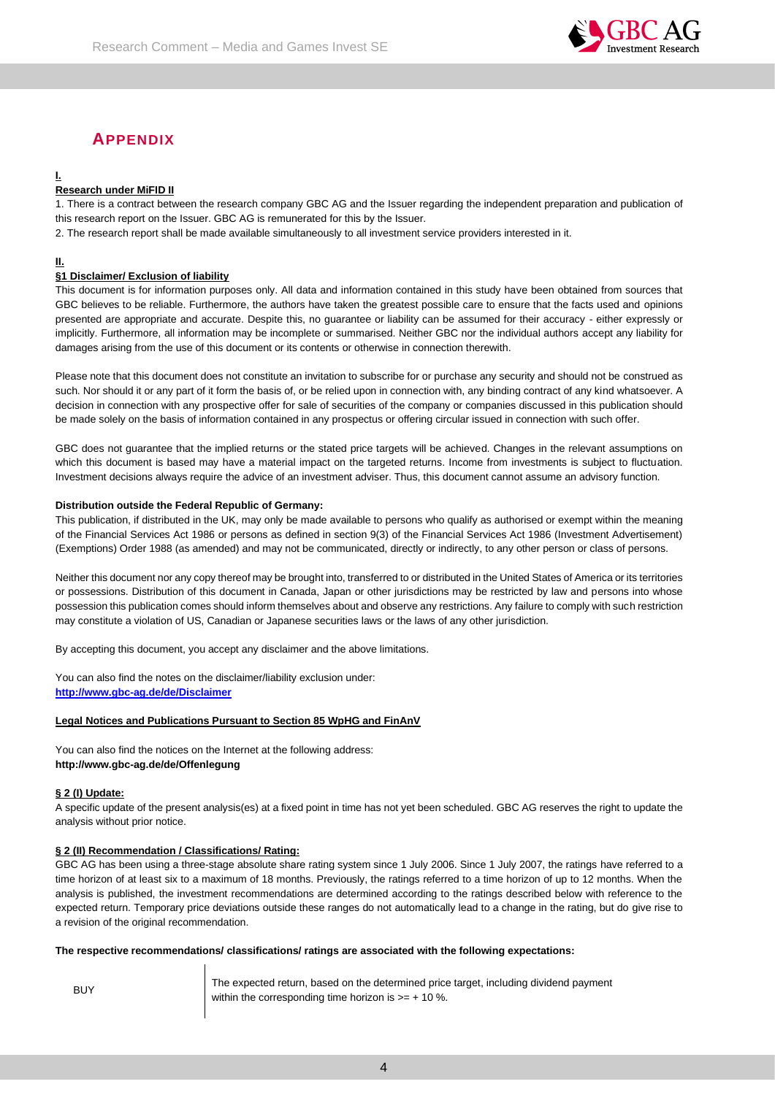

# **APPENDIX**

# **I.**

## **Research under MiFID II**

1. There is a contract between the research company GBC AG and the Issuer regarding the independent preparation and publication of this research report on the Issuer. GBC AG is remunerated for this by the Issuer.

2. The research report shall be made available simultaneously to all investment service providers interested in it.

## **II.**

## **§1 Disclaimer/ Exclusion of liability**

This document is for information purposes only. All data and information contained in this study have been obtained from sources that GBC believes to be reliable. Furthermore, the authors have taken the greatest possible care to ensure that the facts used and opinions presented are appropriate and accurate. Despite this, no guarantee or liability can be assumed for their accuracy - either expressly or implicitly. Furthermore, all information may be incomplete or summarised. Neither GBC nor the individual authors accept any liability for damages arising from the use of this document or its contents or otherwise in connection therewith.

Please note that this document does not constitute an invitation to subscribe for or purchase any security and should not be construed as such. Nor should it or any part of it form the basis of, or be relied upon in connection with, any binding contract of any kind whatsoever. A decision in connection with any prospective offer for sale of securities of the company or companies discussed in this publication should be made solely on the basis of information contained in any prospectus or offering circular issued in connection with such offer.

GBC does not guarantee that the implied returns or the stated price targets will be achieved. Changes in the relevant assumptions on which this document is based may have a material impact on the targeted returns. Income from investments is subject to fluctuation. Investment decisions always require the advice of an investment adviser. Thus, this document cannot assume an advisory function.

#### **Distribution outside the Federal Republic of Germany:**

This publication, if distributed in the UK, may only be made available to persons who qualify as authorised or exempt within the meaning of the Financial Services Act 1986 or persons as defined in section 9(3) of the Financial Services Act 1986 (Investment Advertisement) (Exemptions) Order 1988 (as amended) and may not be communicated, directly or indirectly, to any other person or class of persons.

Neither this document nor any copy thereof may be brought into, transferred to or distributed in the United States of America or its territories or possessions. Distribution of this document in Canada, Japan or other jurisdictions may be restricted by law and persons into whose possession this publication comes should inform themselves about and observe any restrictions. Any failure to comply with such restriction may constitute a violation of US, Canadian or Japanese securities laws or the laws of any other jurisdiction.

By accepting this document, you accept any disclaimer and the above limitations.

You can also find the notes on the disclaimer/liability exclusion under: **[http://www.gbc-ag.de/de/Disclaimer](http://www.gbc-ag.de/de/Disclaimer.htm)**

#### **Legal Notices and Publications Pursuant to Section 85 WpHG and FinAnV**

You can also find the notices on the Internet at the following address: **http://www.gbc-ag.de/de/Offenlegung**

#### **§ 2 (I) Update:**

A specific update of the present analysis(es) at a fixed point in time has not yet been scheduled. GBC AG reserves the right to update the analysis without prior notice.

## **§ 2 (II) Recommendation / Classifications/ Rating:**

GBC AG has been using a three-stage absolute share rating system since 1 July 2006. Since 1 July 2007, the ratings have referred to a time horizon of at least six to a maximum of 18 months. Previously, the ratings referred to a time horizon of up to 12 months. When the analysis is published, the investment recommendations are determined according to the ratings described below with reference to the expected return. Temporary price deviations outside these ranges do not automatically lead to a change in the rating, but do give rise to a revision of the original recommendation.

#### **The respective recommendations/ classifications/ ratings are associated with the following expectations:**

BUY The expected return, based on the determined price target, including dividend payment within the corresponding time horizon is  $>= + 10$  %.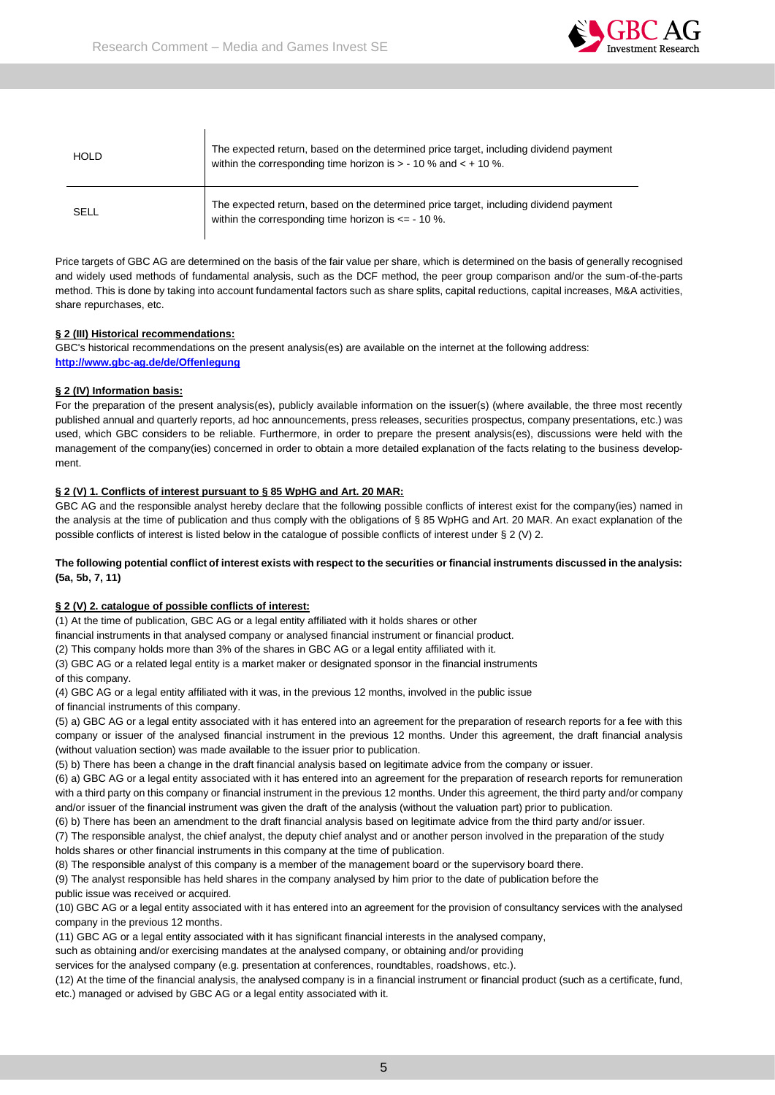$\mathbf{I}$ 



| <b>HOLD</b> | The expected return, based on the determined price target, including dividend payment<br>within the corresponding time horizon is $> -10$ % and $< +10$ %. |
|-------------|------------------------------------------------------------------------------------------------------------------------------------------------------------|
| SELL        | The expected return, based on the determined price target, including dividend payment<br>within the corresponding time horizon is $\epsilon$ = - 10 %.     |

Price targets of GBC AG are determined on the basis of the fair value per share, which is determined on the basis of generally recognised and widely used methods of fundamental analysis, such as the DCF method, the peer group comparison and/or the sum-of-the-parts method. This is done by taking into account fundamental factors such as share splits, capital reductions, capital increases, M&A activities, share repurchases, etc.

#### **§ 2 (III) Historical recommendations:**

GBC's historical recommendations on the present analysis(es) are available on the internet at the following address: **[http://www.gbc-ag.de/de/Offenlegung](http://www.gbc-ag.de/de/Offenlegung.htm)**

#### **§ 2 (IV) Information basis:**

For the preparation of the present analysis(es), publicly available information on the issuer(s) (where available, the three most recently published annual and quarterly reports, ad hoc announcements, press releases, securities prospectus, company presentations, etc.) was used, which GBC considers to be reliable. Furthermore, in order to prepare the present analysis(es), discussions were held with the management of the company(ies) concerned in order to obtain a more detailed explanation of the facts relating to the business development.

#### **§ 2 (V) 1. Conflicts of interest pursuant to § 85 WpHG and Art. 20 MAR:**

GBC AG and the responsible analyst hereby declare that the following possible conflicts of interest exist for the company(ies) named in the analysis at the time of publication and thus comply with the obligations of § 85 WpHG and Art. 20 MAR. An exact explanation of the possible conflicts of interest is listed below in the catalogue of possible conflicts of interest under § 2 (V) 2.

#### **The following potential conflict of interest exists with respect to the securities or financial instruments discussed in the analysis: (5a, 5b, 7, 11)**

#### **§ 2 (V) 2. catalogue of possible conflicts of interest:**

(1) At the time of publication, GBC AG or a legal entity affiliated with it holds shares or other

financial instruments in that analysed company or analysed financial instrument or financial product.

(2) This company holds more than 3% of the shares in GBC AG or a legal entity affiliated with it.

(3) GBC AG or a related legal entity is a market maker or designated sponsor in the financial instruments

of this company.

(4) GBC AG or a legal entity affiliated with it was, in the previous 12 months, involved in the public issue

of financial instruments of this company.

(5) a) GBC AG or a legal entity associated with it has entered into an agreement for the preparation of research reports for a fee with this company or issuer of the analysed financial instrument in the previous 12 months. Under this agreement, the draft financial analysis (without valuation section) was made available to the issuer prior to publication.

(5) b) There has been a change in the draft financial analysis based on legitimate advice from the company or issuer.

(6) a) GBC AG or a legal entity associated with it has entered into an agreement for the preparation of research reports for remuneration with a third party on this company or financial instrument in the previous 12 months. Under this agreement, the third party and/or company and/or issuer of the financial instrument was given the draft of the analysis (without the valuation part) prior to publication.

(6) b) There has been an amendment to the draft financial analysis based on legitimate advice from the third party and/or issuer.

(7) The responsible analyst, the chief analyst, the deputy chief analyst and or another person involved in the preparation of the study holds shares or other financial instruments in this company at the time of publication.

(8) The responsible analyst of this company is a member of the management board or the supervisory board there.

(9) The analyst responsible has held shares in the company analysed by him prior to the date of publication before the public issue was received or acquired.

(10) GBC AG or a legal entity associated with it has entered into an agreement for the provision of consultancy services with the analysed company in the previous 12 months.

(11) GBC AG or a legal entity associated with it has significant financial interests in the analysed company,

such as obtaining and/or exercising mandates at the analysed company, or obtaining and/or providing

services for the analysed company (e.g. presentation at conferences, roundtables, roadshows, etc.).

(12) At the time of the financial analysis, the analysed company is in a financial instrument or financial product (such as a certificate, fund, etc.) managed or advised by GBC AG or a legal entity associated with it.